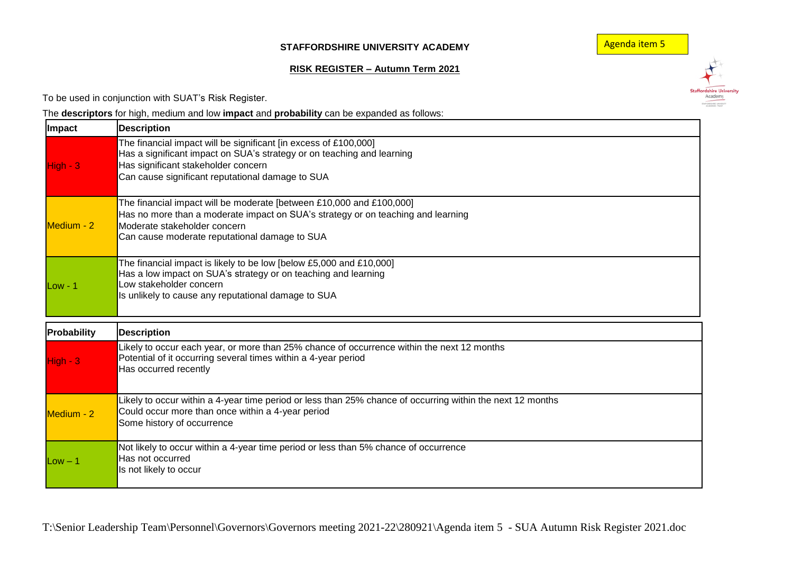## **STAFFORDSHIRE UNIVERSITY ACADEMY**

Agenda item 5

Staffordshire University<br>Academy

## **RISK REGISTER – Autumn Term 2021**

To be used in conjunction with SUAT's Risk Register.

The **descriptors** for high, medium and low **impact** and **probability** can be expanded as follows:

| Impact      | <b>Description</b>                                                                                                                                                                                                                        |
|-------------|-------------------------------------------------------------------------------------------------------------------------------------------------------------------------------------------------------------------------------------------|
| $H$ igh - 3 | The financial impact will be significant [in excess of £100,000]<br>Has a significant impact on SUA's strategy or on teaching and learning<br>Has significant stakeholder concern<br>Can cause significant reputational damage to SUA     |
| Medium - 2  | The financial impact will be moderate [between £10,000 and £100,000]<br>Has no more than a moderate impact on SUA's strategy or on teaching and learning<br>Moderate stakeholder concern<br>Can cause moderate reputational damage to SUA |
| $Low - 1$   | The financial impact is likely to be low [below £5,000 and £10,000]<br>Has a low impact on SUA's strategy or on teaching and learning<br>Low stakeholder concern<br>Is unlikely to cause any reputational damage to SUA                   |
| Probability | <b>Description</b>                                                                                                                                                                                                                        |
| $High - 3$  | Likely to occur each year, or more than 25% chance of occurrence within the next 12 months<br>Potential of it occurring several times within a 4-year period<br>Has occurred recently                                                     |
| Medium - 2  | Likely to occur within a 4-year time period or less than 25% chance of occurring within the next 12 months<br>Could occur more than once within a 4-year period<br>Some history of occurrence                                             |
| $Low - 1$   | Not likely to occur within a 4-year time period or less than 5% chance of occurrence<br>Has not occurred<br>Is not likely to occur                                                                                                        |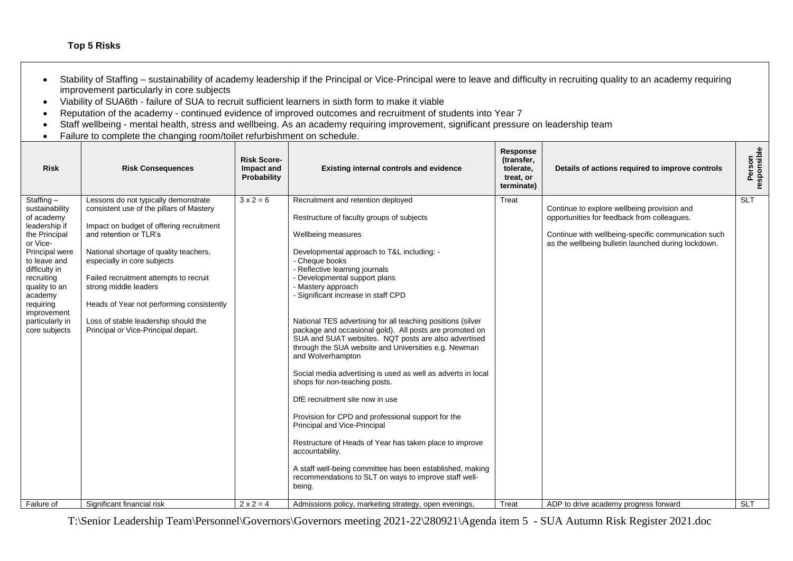## **Top 5 Risks**

- Stability of Staffing sustainability of academy leadership if the Principal or Vice-Principal were to leave and difficulty in recruiting quality to an academy requiring improvement particularly in core subjects
- Viability of SUA6th failure of SUA to recruit sufficient learners in sixth form to make it viable
- Reputation of the academy continued evidence of improved outcomes and recruitment of students into Year 7
- Staff wellbeing mental health, stress and wellbeing. As an academy requiring improvement, significant pressure on leadership team
- Failure to complete the changing room/toilet refurbishment on schedule.

| <b>Risk</b>                                                                                                                                                                                                                                             | <b>Risk Consequences</b>                                                                                                                                                                                                                                                                                                                                                                                                       | <b>Risk Score-</b><br>Impact and<br>Probability | <b>Existing internal controls and evidence</b>                                                                                                                                                                                                                                                                                                                                                                                                                                                                                                                                                                                                                                                                                                                                                                                                                                                                                                                                                               | Response<br>(transfer,<br>tolerate,<br>treat, or<br>terminate) | Details of actions required to improve controls                                                                                                                                                          | Person<br>responsible |
|---------------------------------------------------------------------------------------------------------------------------------------------------------------------------------------------------------------------------------------------------------|--------------------------------------------------------------------------------------------------------------------------------------------------------------------------------------------------------------------------------------------------------------------------------------------------------------------------------------------------------------------------------------------------------------------------------|-------------------------------------------------|--------------------------------------------------------------------------------------------------------------------------------------------------------------------------------------------------------------------------------------------------------------------------------------------------------------------------------------------------------------------------------------------------------------------------------------------------------------------------------------------------------------------------------------------------------------------------------------------------------------------------------------------------------------------------------------------------------------------------------------------------------------------------------------------------------------------------------------------------------------------------------------------------------------------------------------------------------------------------------------------------------------|----------------------------------------------------------------|----------------------------------------------------------------------------------------------------------------------------------------------------------------------------------------------------------|-----------------------|
| Staffing $-$<br>sustainability<br>of academy<br>leadership if<br>the Principal<br>or Vice-<br>Principal were<br>to leave and<br>difficulty in<br>recruiting<br>quality to an<br>academy<br>requiring<br>improvement<br>particularly in<br>core subjects | Lessons do not typically demonstrate<br>consistent use of the pillars of Mastery<br>Impact on budget of offering recruitment<br>and retention or TLR's<br>National shortage of quality teachers,<br>especially in core subjects<br>Failed recruitment attempts to recruit<br>strong middle leaders<br>Heads of Year not performing consistently<br>Loss of stable leadership should the<br>Principal or Vice-Principal depart. | $3x^2 = 6$                                      | Recruitment and retention deployed<br>Restructure of faculty groups of subjects<br>Wellbeing measures<br>Developmental approach to T&L including: -<br>- Cheque books<br>- Reflective learning journals<br>- Developmental support plans<br>- Mastery approach<br>- Significant increase in staff CPD<br>National TES advertising for all teaching positions (silver<br>package and occasional gold). All posts are promoted on<br>SUA and SUAT websites. NQT posts are also advertised<br>through the SUA website and Universities e.g. Newman<br>and Wolverhampton<br>Social media advertising is used as well as adverts in local<br>shops for non-teaching posts.<br>DfE recruitment site now in use<br>Provision for CPD and professional support for the<br>Principal and Vice-Principal<br>Restructure of Heads of Year has taken place to improve<br>accountability.<br>A staff well-being committee has been established, making<br>recommendations to SLT on ways to improve staff well-<br>being. | Treat                                                          | Continue to explore wellbeing provision and<br>opportunities for feedback from colleagues.<br>Continue with wellbeing-specific communication such<br>as the wellbeing bulletin launched during lockdown. | <b>SLT</b>            |
| Failure of                                                                                                                                                                                                                                              | Significant financial risk                                                                                                                                                                                                                                                                                                                                                                                                     | $2 \times 2 = 4$                                | Admissions policy, marketing strategy, open evenings,                                                                                                                                                                                                                                                                                                                                                                                                                                                                                                                                                                                                                                                                                                                                                                                                                                                                                                                                                        | Treat                                                          | ADP to drive academy progress forward                                                                                                                                                                    | <b>SLT</b>            |

T:\Senior Leadership Team\Personnel\Governors\Governors meeting 2021-22\280921\Agenda item 5 - SUA Autumn Risk Register 2021.doc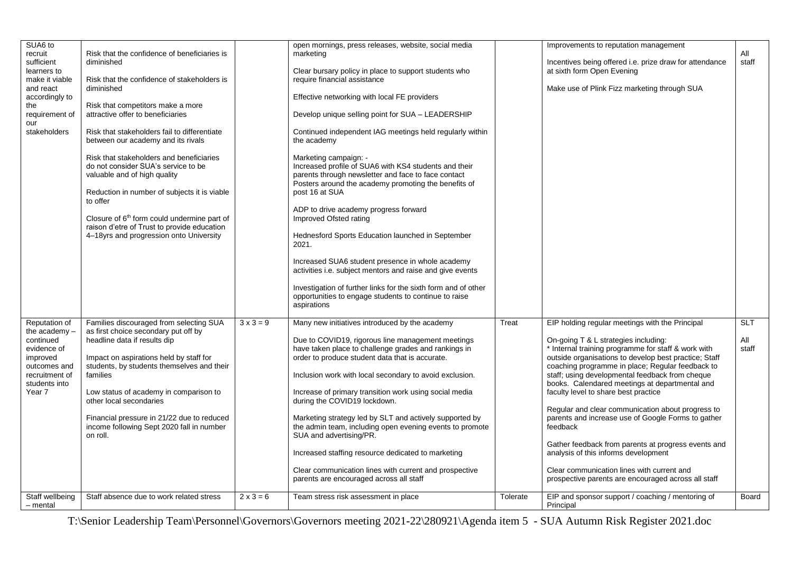| SUA6 to<br>recruit<br>sufficient<br>learners to<br>make it viable<br>and react<br>accordingly to<br>the<br>requirement of<br>our<br>stakeholders       | Risk that the confidence of beneficiaries is<br>diminished<br>Risk that the confidence of stakeholders is<br>diminished<br>Risk that competitors make a more<br>attractive offer to beneficiaries<br>Risk that stakeholders fail to differentiate<br>between our academy and its rivals<br>Risk that stakeholders and beneficiaries<br>do not consider SUA's service to be<br>valuable and of high quality<br>Reduction in number of subjects it is viable<br>to offer<br>Closure of 6 <sup>th</sup> form could undermine part of<br>raison d'etre of Trust to provide education<br>4-18yrs and progression onto University |                                      | open mornings, press releases, website, social media<br>marketing<br>Clear bursary policy in place to support students who<br>require financial assistance<br>Effective networking with local FE providers<br>Develop unique selling point for SUA - LEADERSHIP<br>Continued independent IAG meetings held regularly within<br>the academy<br>Marketing campaign: -<br>Increased profile of SUA6 with KS4 students and their<br>parents through newsletter and face to face contact<br>Posters around the academy promoting the benefits of<br>post 16 at SUA<br>ADP to drive academy progress forward<br>Improved Ofsted rating<br>Hednesford Sports Education launched in September<br>2021.<br>Increased SUA6 student presence in whole academy<br>activities i.e. subject mentors and raise and give events<br>Investigation of further links for the sixth form and of other<br>opportunities to engage students to continue to raise |                   | Improvements to reputation management<br>Incentives being offered i.e. prize draw for attendance<br>at sixth form Open Evening<br>Make use of Plink Fizz marketing through SUA                                                                                                                                                                                                                                                                                                                                                                                                                                                                                                                                                                                                           | All<br>staff                               |
|--------------------------------------------------------------------------------------------------------------------------------------------------------|-----------------------------------------------------------------------------------------------------------------------------------------------------------------------------------------------------------------------------------------------------------------------------------------------------------------------------------------------------------------------------------------------------------------------------------------------------------------------------------------------------------------------------------------------------------------------------------------------------------------------------|--------------------------------------|--------------------------------------------------------------------------------------------------------------------------------------------------------------------------------------------------------------------------------------------------------------------------------------------------------------------------------------------------------------------------------------------------------------------------------------------------------------------------------------------------------------------------------------------------------------------------------------------------------------------------------------------------------------------------------------------------------------------------------------------------------------------------------------------------------------------------------------------------------------------------------------------------------------------------------------------|-------------------|------------------------------------------------------------------------------------------------------------------------------------------------------------------------------------------------------------------------------------------------------------------------------------------------------------------------------------------------------------------------------------------------------------------------------------------------------------------------------------------------------------------------------------------------------------------------------------------------------------------------------------------------------------------------------------------------------------------------------------------------------------------------------------------|--------------------------------------------|
| Reputation of<br>the academy -<br>continued<br>evidence of<br>improved<br>outcomes and<br>recruitment of<br>students into<br>Year 7<br>Staff wellbeing | Families discouraged from selecting SUA<br>as first choice secondary put off by<br>headline data if results dip<br>Impact on aspirations held by staff for<br>students, by students themselves and their<br>families<br>Low status of academy in comparison to<br>other local secondaries<br>Financial pressure in 21/22 due to reduced<br>income following Sept 2020 fall in number<br>on roll.<br>Staff absence due to work related stress                                                                                                                                                                                | $3 \times 3 = 9$<br>$2 \times 3 = 6$ | Many new initiatives introduced by the academy<br>Due to COVID19, rigorous line management meetings<br>have taken place to challenge grades and rankings in<br>order to produce student data that is accurate.<br>Inclusion work with local secondary to avoid exclusion.<br>Increase of primary transition work using social media<br>during the COVID19 lockdown.<br>Marketing strategy led by SLT and actively supported by<br>the admin team, including open evening events to promote<br>SUA and advertising/PR.<br>Increased staffing resource dedicated to marketing<br>Clear communication lines with current and prospective<br>parents are encouraged across all staff<br>Team stress risk assessment in place                                                                                                                                                                                                                   | Treat<br>Tolerate | EIP holding regular meetings with the Principal<br>On-going T & L strategies including:<br>* Internal training programme for staff & work with<br>outside organisations to develop best practice; Staff<br>coaching programme in place; Regular feedback to<br>staff; using developmental feedback from cheque<br>books. Calendared meetings at departmental and<br>faculty level to share best practice<br>Regular and clear communication about progress to<br>parents and increase use of Google Forms to gather<br>feedback<br>Gather feedback from parents at progress events and<br>analysis of this informs development<br>Clear communication lines with current and<br>prospective parents are encouraged across all staff<br>EIP and sponsor support / coaching / mentoring of | <b>SLT</b><br>All<br>staff<br><b>Board</b> |
| - mental                                                                                                                                               |                                                                                                                                                                                                                                                                                                                                                                                                                                                                                                                                                                                                                             |                                      |                                                                                                                                                                                                                                                                                                                                                                                                                                                                                                                                                                                                                                                                                                                                                                                                                                                                                                                                            |                   | Principal                                                                                                                                                                                                                                                                                                                                                                                                                                                                                                                                                                                                                                                                                                                                                                                |                                            |

T:\Senior Leadership Team\Personnel\Governors\Governors meeting 2021-22\280921\Agenda item 5 - SUA Autumn Risk Register 2021.doc